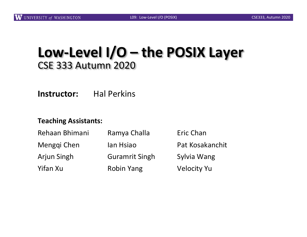## **Low-Level I/O – the POSIX Layer** CSE 333 Autumn 2020

**Instructor:** Hal Perkins

#### **Teaching Assistants:**

| Rehaan Bhimani<br>Menggi Chen<br><b>Arjun Singh</b> | Ramya Challa<br>lan Hsiao<br><b>Guramrit Singh</b> | Eric Chan<br>Pat Kosakanchit<br>Sylvia Wang |          |                   |                    |
|-----------------------------------------------------|----------------------------------------------------|---------------------------------------------|----------|-------------------|--------------------|
|                                                     |                                                    |                                             | Yifan Xu | <b>Robin Yang</b> | <b>Velocity Yu</b> |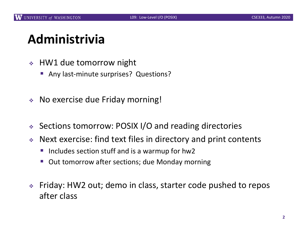# **Administrivia**

- $\div$  HW1 due tomorrow night
	- Any last-minute surprises? Questions?
- \* No exercise due Friday morning!
- <sup>v</sup> Sections tomorrow: POSIX I/O and reading directories
- $\triangle$  Next exercise: find text files in directory and print contents
	- Includes section stuff and is a warmup for hw2
	- Out tomorrow after sections; due Monday morning
- <sup>v</sup> Friday: HW2 out; demo in class, starter code pushed to repos after class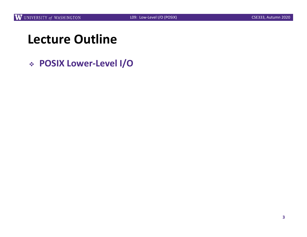# **Lecture Outline**

<sup>v</sup> **POSIX Lower-Level I/O**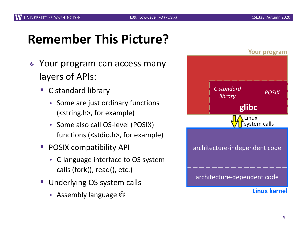# **Remember This Picture?**

- $\div$  Your program can access many layers of APIs:
	- C standard library
		- Some are just ordinary functions (<string.h>, for example)
		- Some also call OS-level (POSIX) functions (<stdio.h>, for example)
	- POSIX compatibility API
		- C-language interface to OS system calls (fork(), read(), etc.)
	- Underlying OS system calls
		- Assembly language  $\odot$

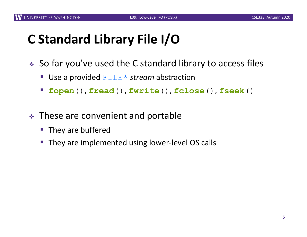# **C Standard Library File I/O**

- $\triangle$  So far you've used the C standard library to access files
	- Use a provided FILE<sup>\*</sup> *stream* abstraction
	- § **fopen**(), **fread**(), **fwrite**(), **fclose**(), **fseek**()
- $\cdot$  These are convenient and portable
	- They are buffered
	- They are implemented using lower-level OS calls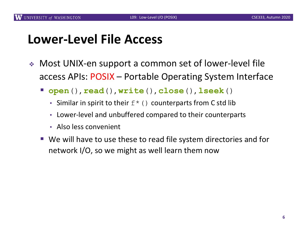## **Lower-Level File Access**

- ◆ Most UNIX-en support a common set of lower-level file access APIs: POSIX – Portable Operating System Interface
	- § **open**(), **read**(), **write**(), **close**(), **lseek**()
		- Similar in spirit to their  $f^*(x)$  counterparts from C std lib
		- Lower-level and unbuffered compared to their counterparts
		- Also less convenient
	- We will have to use these to read file system directories and for network I/O, so we might as well learn them now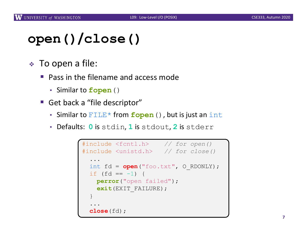# **open()/close()**

- <sup>v</sup> To open a file:
	- Pass in the filename and access mode
		- Similar to **fopen**()
	- Get back a "file descriptor"
		- Similar to FILE<sup>\*</sup> from **fopen** (), but is just an int
		- Defaults: **0** is stdin, **1** is stdout, **2** is stderr

```
#include <fcntl.h> // for open()
#include <unistd.h> // for close()
  ...
  int fd = open("foo.txt", O_RDONLY);
 if (fd == -1) {
   perror("open failed");
   exit(EXIT_FAILURE);
  }
  ...
  close(fd);
```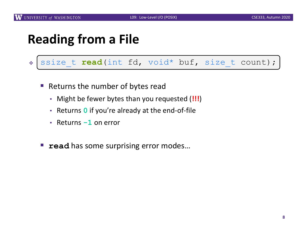## **Reading from a File**

### <sup>v</sup> ssize\_t read(int fd, void\* buf, size\_t count); ssize\_t **read**(int fd, void\* buf, size\_t count);

- Returns the number of bytes read
	- Might be fewer bytes than you requested (**!!!**)
	- Returns **0** if you're already at the end-of-file
	- Returns **-1** on error
- **read** has some surprising error modes...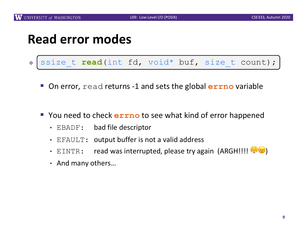## **Read error modes**

### <sup>v</sup> ssize\_t read(int fd, void\* buf, size\_t count); ssize\_t **read**(int fd, void\* buf, size\_t count);

- On error, read returns -1 and sets the global **errno** variable
- § You need to check **errno** to see what kind of error happened
	- EBADF: bad file descriptor
	- EFAULT: output buffer is not a valid address
	- EINTR: read was interrupted, please try again (ARGH!!!!  $\mathbb{C}(\mathbb{R})$
	- And many others…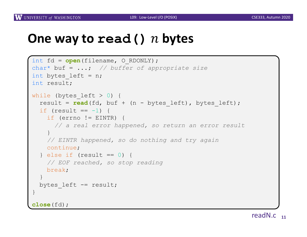## **One way to read() bytes**

```
int fd = open(filename, O_RDONLY);
char* buf = ...; // buffer of appropriate size
int bytes left = n;
int result;
while (bytes left > 0) {
  result = \text{read}(fd, but + (n - bytes left), bytes left);if (result == -1) {
   if (errno != EINTR) {
     // a real error happened, so return an error result
    }
   // EINTR happened, so do nothing and try again
   continue;
  } else if (result == 0) {
   // EOF reached, so stop reading
   break;
  }
 bytes left - result;
}
close(fd);
```